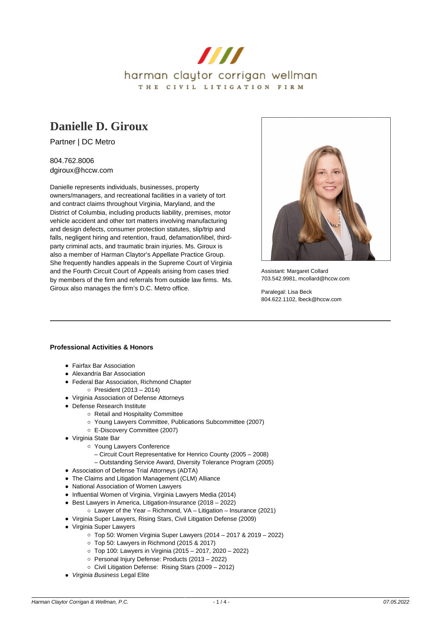

# **[Danielle D. Giroux](https://www.hccw.com/attorney/danielle-d-giroux/)**

Partner | DC Metro

804.762.8006 dgiroux@hccw.com

Danielle represents individuals, businesses, property owners/managers, and recreational facilities in a variety of tort and contract claims throughout Virginia, Maryland, and the District of Columbia, including products liability, premises, motor vehicle accident and other tort matters involving manufacturing and design defects, consumer protection statutes, slip/trip and falls, negligent hiring and retention, fraud, defamation/libel, thirdparty criminal acts, and traumatic brain injuries. Ms. Giroux is also a member of Harman Claytor's Appellate Practice Group. She frequently handles appeals in the Supreme Court of Virginia and the Fourth Circuit Court of Appeals arising from cases tried by members of the firm and referrals from outside law firms. Ms. Giroux also manages the firm's D.C. Metro office.



Assistant: Margaret Collard 703.542.9981, mcollard@hccw.com

Paralegal: Lisa Beck 804.622.1102, lbeck@hccw.com

# **Professional Activities & Honors**

- Fairfax Bar Association
- Alexandria Bar Association
- Federal Bar Association, Richmond Chapter
	- $\circ$  President (2013 2014)
- Virginia Association of Defense Attorneys
- Defense Research Institute
	- Retail and Hospitality Committee
		- Young Lawyers Committee, Publications Subcommittee (2007)
		- E-Discovery Committee (2007)
- Virginia State Bar
	- Young Lawyers Conference
		- Circuit Court Representative for Henrico County (2005 2008)
		- Outstanding Service Award, Diversity Tolerance Program (2005)
- Association of Defense Trial Attorneys (ADTA)
- The Claims and Litigation Management (CLM) Alliance
- National Association of Women Lawyers
- Influential Women of Virginia, Virginia Lawyers Media (2014)
- Best Lawyers in America, Litigation-Insurance (2018 2022)
	- Lawyer of the Year Richmond, VA Litigation Insurance (2021)
- Virginia Super Lawyers, Rising Stars, Civil Litigation Defense (2009)
- Virginia Super Lawyers
	- Top 50: Women Virginia Super Lawyers (2014 2017 & 2019 2022)
	- Top 50: Lawyers in Richmond (2015 & 2017)
	- Top 100: Lawyers in Virginia (2015 2017, 2020 2022)
	- Personal Injury Defense: Products (2013 2022)
	- Civil Litigation Defense: Rising Stars (2009 2012)
- Virginia Business Legal Elite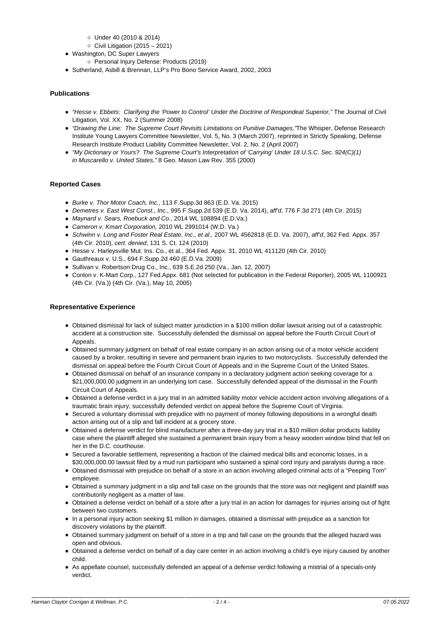- Under 40 (2010 & 2014)
- $\circ$  Civil Litigation (2015 2021)
- Washington, DC Super Lawyers
- Personal Injury Defense: Products (2019)
- Sutherland, Asbill & Brennan, LLP's Pro Bono Service Award, 2002, 2003

## **Publications**

- "Hesse v. Ebbets: Clarifying the 'Power to Control' Under the Doctrine of Respondeat Superior," The Journal of Civil Litigation, Vol. XX, No. 2 (Summer 2008)
- "Drawing the Line: The Supreme Court Revisits Limitations on Punitive Damages,"The Whisper, Defense Research Institute Young Lawyers Committee Newsletter, Vol. 5, No. 3 (March 2007), reprinted in Strictly Speaking, Defense Research Institute Product Liability Committee Newsletter, Vol. 2, No. 2 (April 2007)
- "My Dictionary or Yours? The Supreme Court's Interpretation of 'Carrying' Under 18 U.S.C. Sec. 924(C)(1) in Muscarello v. United States," 8 Geo. Mason Law Rev. 355 (2000)

## **Reported Cases**

- Burke v. Thor Motor Coach, Inc., 113 F.Supp.3d 863 (E.D. Va. 2015)
- Demetres v. East West Const., Inc., 995 F.Supp.2d 539 (E.D. Va. 2014), aff'd, 776 F.3d 271 (4th Cir. 2015)
- Maynard v. Sears, Roebuck and Co., 2014 WL 108894 (E.D.Va.)
- Cameron v. Kmart Corporation, 2010 WL 2991014 (W.D. Va.)
- Schwinn v. Long and Foster Real Estate, Inc., et al., 2007 WL 4562818 (E.D. Va. 2007), aff'd, 362 Fed. Appx. 357 (4th Cir. 2010), cert. denied, 131 S. Ct. 124 (2010)
- Hesse v. Harleysville Mut. Ins. Co., et al., 364 Fed. Appx. 31, 2010 WL 411120 (4th Cir. 2010)
- Gauthreaux v. U.S., 694 F.Supp.2d 460 (E.D.Va. 2009)
- Sullivan v. Robertson Drug Co., Inc., 639 S.E.2d 250 (Va., Jan. 12, 2007)
- Conlon v. K-Mart Corp., 127 Fed.Appx. 681 (Not selected for publication in the Federal Reporter), 2005 WL 1100921 (4th Cir. (Va.)) (4th Cir. (Va.), May 10, 2005)

#### **Representative Experience**

- Obtained dismissal for lack of subject matter jurisdiction in a \$100 million dollar lawsuit arising out of a catastrophic accident at a construction site. Successfully defended the dismissal on appeal before the Fourth Circuit Court of Appeals.
- Obtained summary judgment on behalf of real estate company in an action arising out of a motor vehicle accident caused by a broker, resulting in severe and permanent brain injuries to two motorcyclists. Successfully defended the dismissal on appeal before the Fourth Circuit Court of Appeals and in the Supreme Court of the United States.
- Obtained dismissal on behalf of an insurance company in a declaratory judgment action seeking coverage for a \$21,000,000.00 judgment in an underlying tort case. Successfully defended appeal of the dismissal in the Fourth Circuit Court of Appeals.
- Obtained a defense verdict in a jury trial in an admitted liability motor vehicle accident action involving allegations of a traumatic brain injury; successfully defended verdict on appeal before the Supreme Court of Virginia.
- Secured a voluntary dismissal with prejudice with no payment of money following depositions in a wrongful death action arising out of a slip and fall incident at a grocery store.
- Obtained a defense verdict for blind manufacturer after a three-day jury trial in a \$10 million dollar products liability case where the plaintiff alleged she sustained a permanent brain injury from a heavy wooden window blind that fell on her in the D.C. courthouse.
- Secured a favorable settlement, representing a fraction of the claimed medical bills and economic losses, in a \$30,000,000.00 lawsuit filed by a mud run participant who sustained a spinal cord injury and paralysis during a race.
- Obtained dismissal with prejudice on behalf of a store in an action involving alleged criminal acts of a "Peeping Tom" employee.
- Obtained a summary judgment in a slip and fall case on the grounds that the store was not negligent and plaintiff was contributorily negligent as a matter of law.
- Obtained a defense verdict on behalf of a store after a jury trial in an action for damages for injuries arising out of fight between two customers.
- In a personal injury action seeking \$1 million in damages, obtained a dismissal with prejudice as a sanction for discovery violations by the plaintiff.
- Obtained summary judgment on behalf of a store in a trip and fall case on the grounds that the alleged hazard was open and obvious.
- Obtained a defense verdict on behalf of a day care center in an action involving a child's eye injury caused by another child.
- As appellate counsel, successfully defended an appeal of a defense verdict following a mistrial of a specials-only verdict.